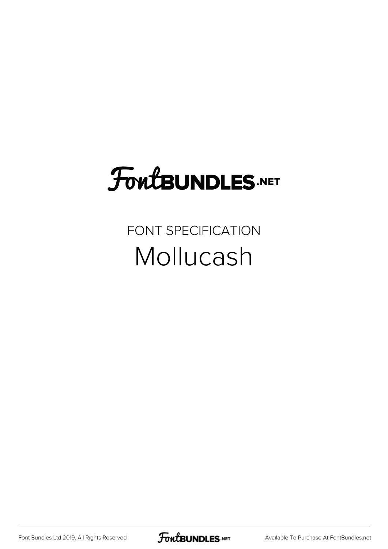## FoutBUNDLES.NET

FONT SPECIFICATION Mollucash

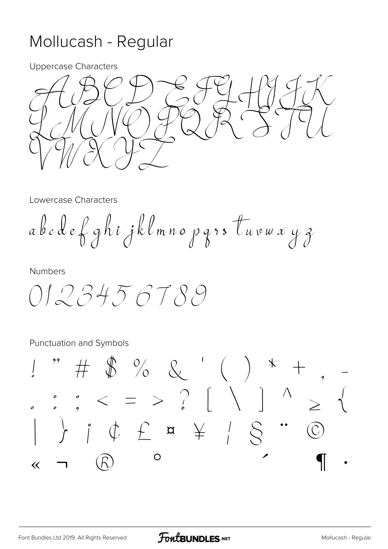## Mollucash - Regular

**Uppercase Characters** 



Lowercase Characters

abedef ghijklmno pars tuvwxyz

**Numbers** 

0123456789

Punctuation and Symbols

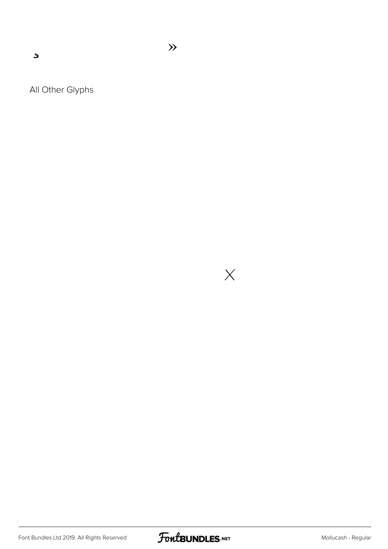$\overline{\mathbf{z}}$ 

All Other Glyphs

 $\times$ 

 $\gg$ 

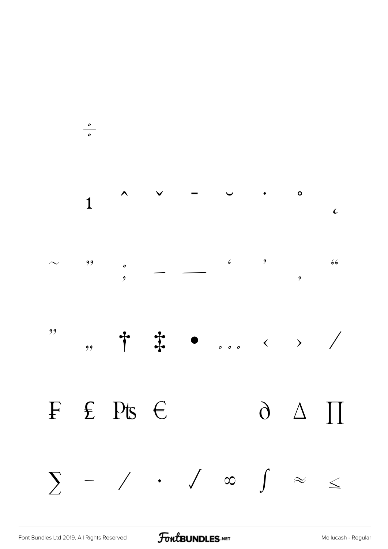